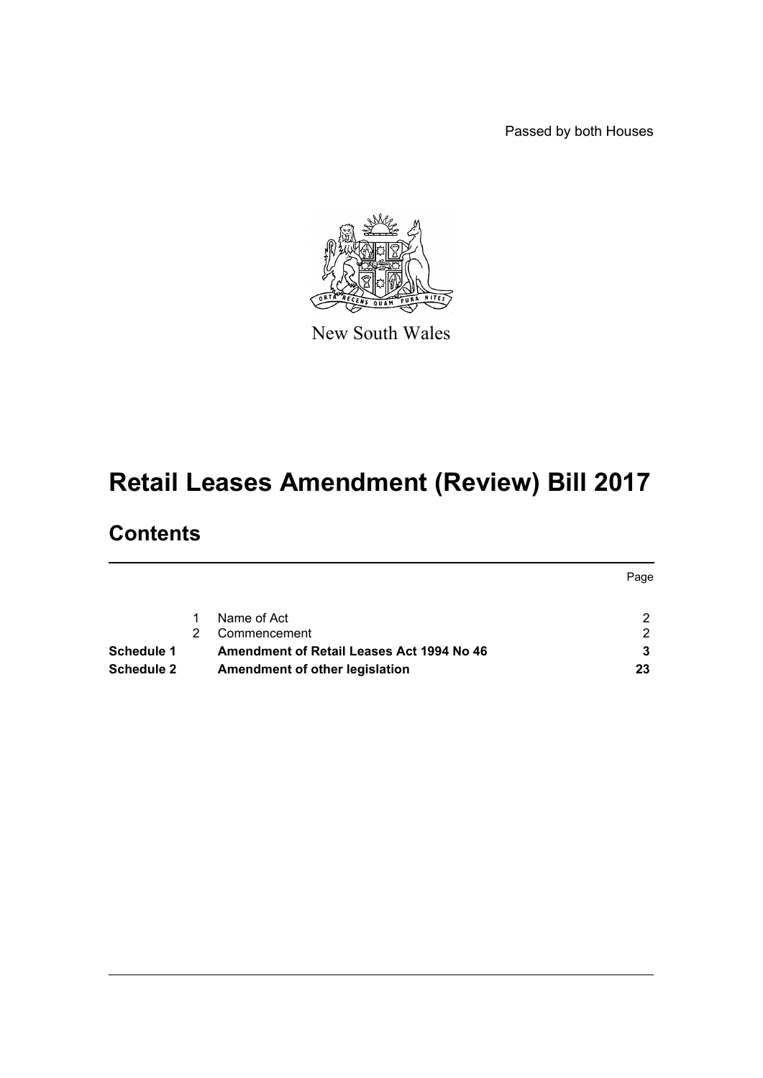Passed by both Houses



New South Wales

# **Retail Leases Amendment (Review) Bill 2017**

# **Contents**

|            |                                           | Page |
|------------|-------------------------------------------|------|
|            | Name of Act                               | ົ    |
|            | Commencement                              | ົ    |
| Schedule 1 | Amendment of Retail Leases Act 1994 No 46 |      |
| Schedule 2 | Amendment of other legislation            | 23   |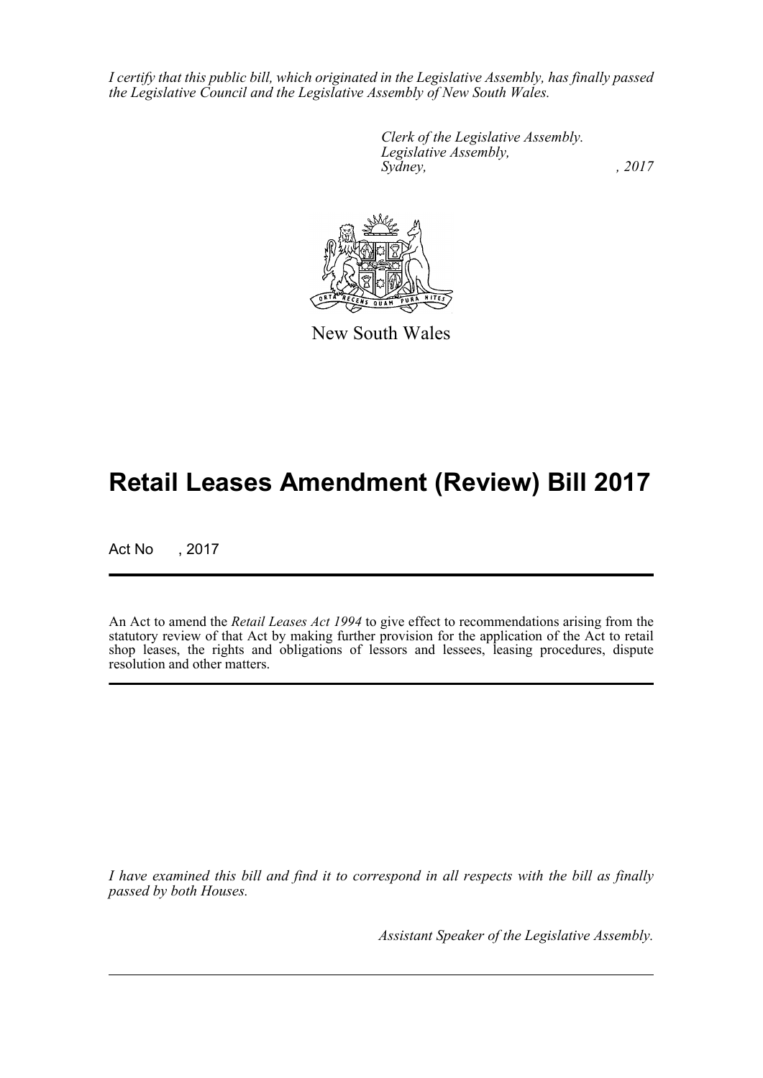*I certify that this public bill, which originated in the Legislative Assembly, has finally passed the Legislative Council and the Legislative Assembly of New South Wales.*

> *Clerk of the Legislative Assembly. Legislative Assembly, Sydney,* , 2017



New South Wales

# **Retail Leases Amendment (Review) Bill 2017**

Act No , 2017

An Act to amend the *Retail Leases Act 1994* to give effect to recommendations arising from the statutory review of that Act by making further provision for the application of the Act to retail shop leases, the rights and obligations of lessors and lessees, leasing procedures, dispute resolution and other matters.

*I have examined this bill and find it to correspond in all respects with the bill as finally passed by both Houses.*

*Assistant Speaker of the Legislative Assembly.*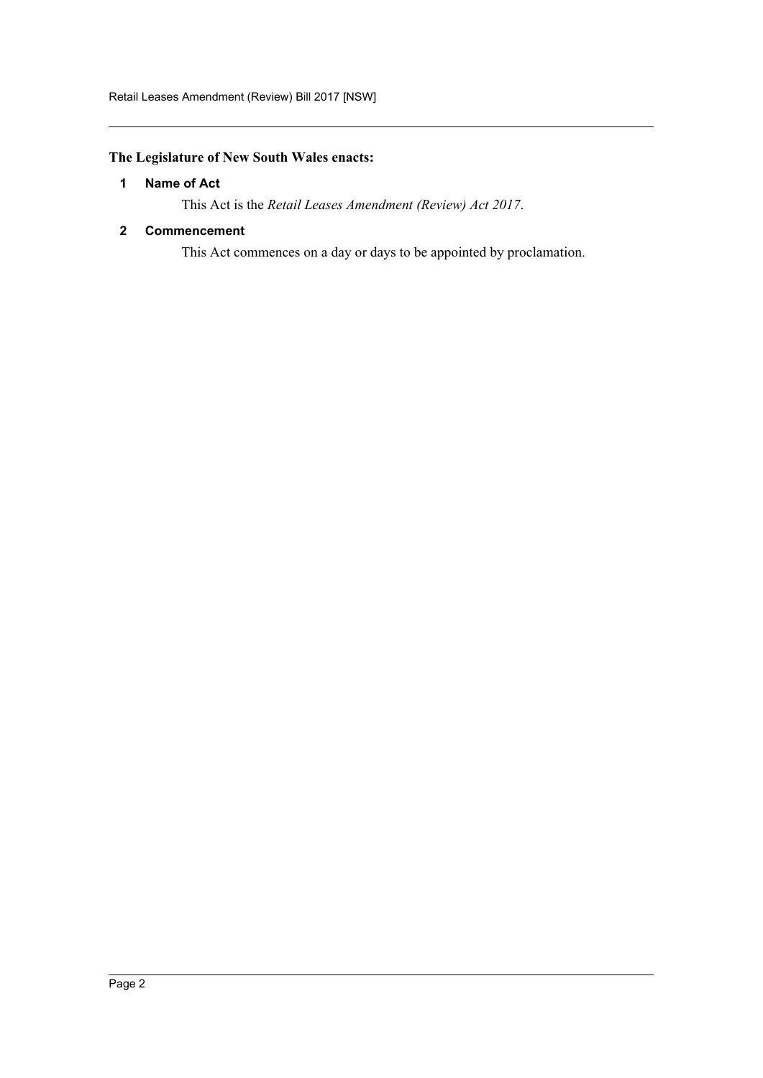# <span id="page-2-0"></span>**The Legislature of New South Wales enacts:**

# **1 Name of Act**

This Act is the *Retail Leases Amendment (Review) Act 2017*.

# <span id="page-2-1"></span>**2 Commencement**

This Act commences on a day or days to be appointed by proclamation.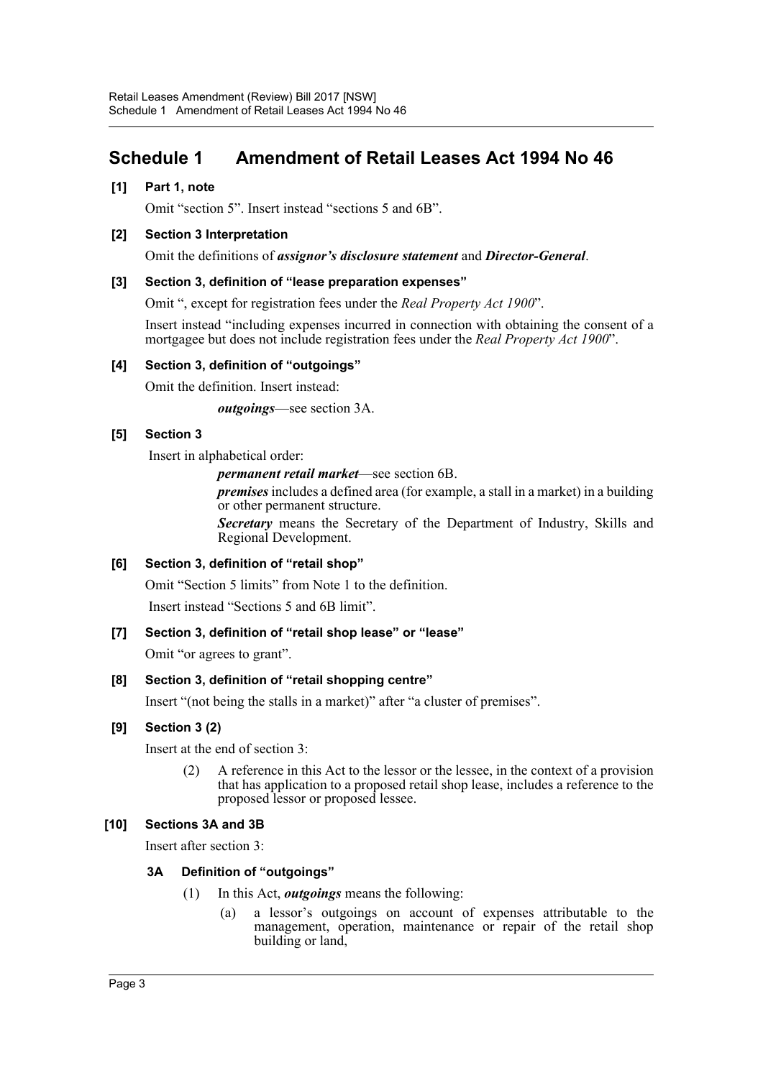# <span id="page-3-0"></span>**Schedule 1 Amendment of Retail Leases Act 1994 No 46**

### **[1] Part 1, note**

Omit "section 5". Insert instead "sections 5 and 6B".

#### **[2] Section 3 Interpretation**

Omit the definitions of *assignor's disclosure statement* and *Director-General*.

#### **[3] Section 3, definition of "lease preparation expenses"**

Omit ", except for registration fees under the *Real Property Act 1900*".

Insert instead "including expenses incurred in connection with obtaining the consent of a mortgagee but does not include registration fees under the *Real Property Act 1900*".

#### **[4] Section 3, definition of "outgoings"**

Omit the definition. Insert instead:

*outgoings*—see section 3A.

#### **[5] Section 3**

Insert in alphabetical order:

*permanent retail market*—see section 6B.

*premises* includes a defined area (for example, a stall in a market) in a building or other permanent structure.

*Secretary* means the Secretary of the Department of Industry, Skills and Regional Development.

# **[6] Section 3, definition of "retail shop"**

Omit "Section 5 limits" from Note 1 to the definition.

Insert instead "Sections 5 and 6B limit".

# **[7] Section 3, definition of "retail shop lease" or "lease"**

Omit "or agrees to grant".

# **[8] Section 3, definition of "retail shopping centre"**

Insert "(not being the stalls in a market)" after "a cluster of premises".

#### **[9] Section 3 (2)**

Insert at the end of section 3:

(2) A reference in this Act to the lessor or the lessee, in the context of a provision that has application to a proposed retail shop lease, includes a reference to the proposed lessor or proposed lessee.

# **[10] Sections 3A and 3B**

Insert after section 3:

#### **3A Definition of "outgoings"**

- (1) In this Act, *outgoings* means the following:
	- (a) a lessor's outgoings on account of expenses attributable to the management, operation, maintenance or repair of the retail shop building or land,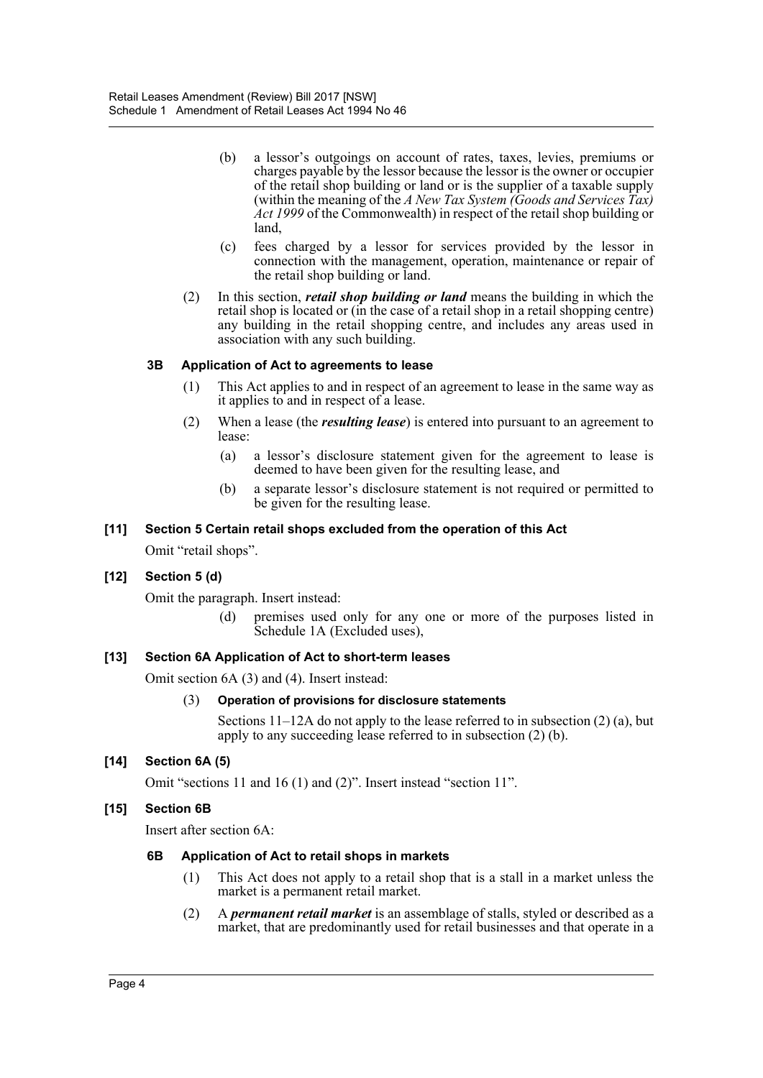- (b) a lessor's outgoings on account of rates, taxes, levies, premiums or charges payable by the lessor because the lessor is the owner or occupier of the retail shop building or land or is the supplier of a taxable supply (within the meaning of the *A New Tax System (Goods and Services Tax) Act 1999* of the Commonwealth) in respect of the retail shop building or land,
- (c) fees charged by a lessor for services provided by the lessor in connection with the management, operation, maintenance or repair of the retail shop building or land.
- (2) In this section, *retail shop building or land* means the building in which the retail shop is located or (in the case of a retail shop in a retail shopping centre) any building in the retail shopping centre, and includes any areas used in association with any such building.

# **3B Application of Act to agreements to lease**

- (1) This Act applies to and in respect of an agreement to lease in the same way as it applies to and in respect of a lease.
- (2) When a lease (the *resulting lease*) is entered into pursuant to an agreement to lease:
	- (a) a lessor's disclosure statement given for the agreement to lease is deemed to have been given for the resulting lease, and
	- (b) a separate lessor's disclosure statement is not required or permitted to be given for the resulting lease.

#### **[11] Section 5 Certain retail shops excluded from the operation of this Act**

Omit "retail shops".

# **[12] Section 5 (d)**

Omit the paragraph. Insert instead:

(d) premises used only for any one or more of the purposes listed in Schedule 1A (Excluded uses),

#### **[13] Section 6A Application of Act to short-term leases**

Omit section 6A (3) and (4). Insert instead:

#### (3) **Operation of provisions for disclosure statements**

Sections 11–12A do not apply to the lease referred to in subsection (2) (a), but apply to any succeeding lease referred to in subsection (2) (b).

# **[14] Section 6A (5)**

Omit "sections 11 and 16 (1) and (2)". Insert instead "section 11".

# **[15] Section 6B**

Insert after section 6A:

#### **6B Application of Act to retail shops in markets**

- (1) This Act does not apply to a retail shop that is a stall in a market unless the market is a permanent retail market.
- (2) A *permanent retail market* is an assemblage of stalls, styled or described as a market, that are predominantly used for retail businesses and that operate in a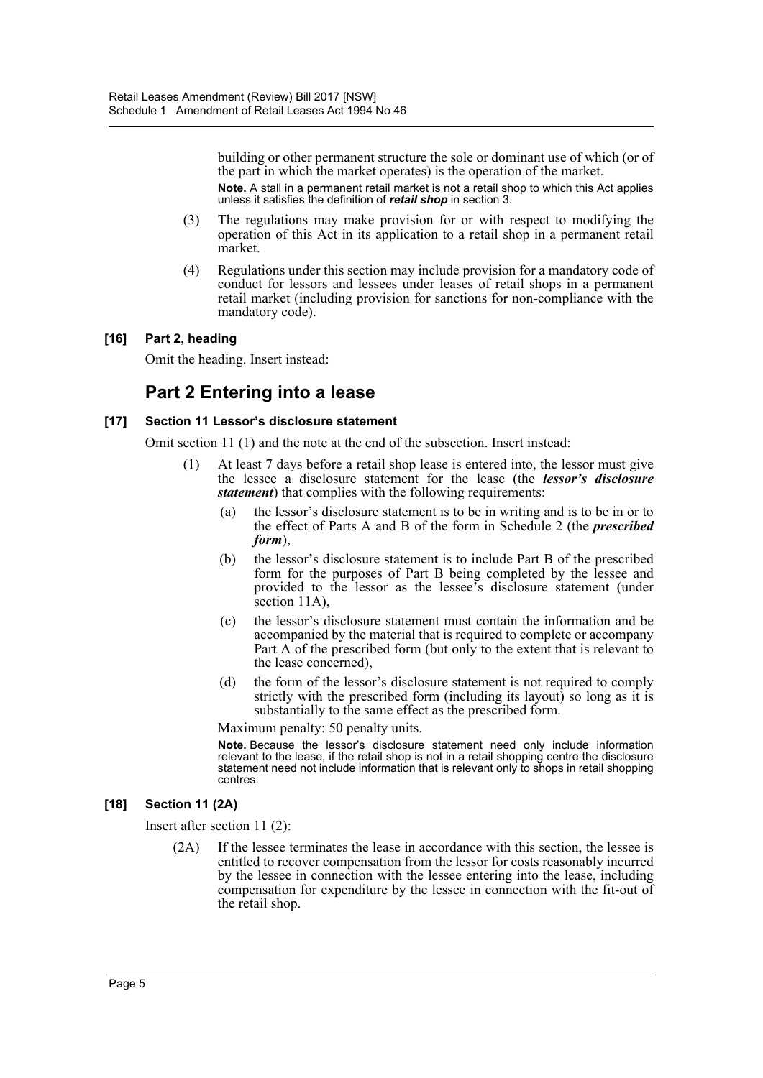building or other permanent structure the sole or dominant use of which (or of the part in which the market operates) is the operation of the market. Note. A stall in a permanent retail market is not a retail shop to which this Act applies unless it satisfies the definition of *retail shop* in section 3.

- (3) The regulations may make provision for or with respect to modifying the operation of this Act in its application to a retail shop in a permanent retail market.
- (4) Regulations under this section may include provision for a mandatory code of conduct for lessors and lessees under leases of retail shops in a permanent retail market (including provision for sanctions for non-compliance with the mandatory code).

#### **[16] Part 2, heading**

Omit the heading. Insert instead:

# **Part 2 Entering into a lease**

#### **[17] Section 11 Lessor's disclosure statement**

Omit section 11 (1) and the note at the end of the subsection. Insert instead:

- (1) At least 7 days before a retail shop lease is entered into, the lessor must give the lessee a disclosure statement for the lease (the *lessor's disclosure statement*) that complies with the following requirements:
	- (a) the lessor's disclosure statement is to be in writing and is to be in or to the effect of Parts A and B of the form in Schedule 2 (the *prescribed form*),
	- (b) the lessor's disclosure statement is to include Part B of the prescribed form for the purposes of Part B being completed by the lessee and provided to the lessor as the lessee's disclosure statement (under section 11A).
	- (c) the lessor's disclosure statement must contain the information and be accompanied by the material that is required to complete or accompany Part A of the prescribed form (but only to the extent that is relevant to the lease concerned),
	- (d) the form of the lessor's disclosure statement is not required to comply strictly with the prescribed form (including its layout) so long as it is substantially to the same effect as the prescribed form.

Maximum penalty: 50 penalty units.

**Note.** Because the lessor's disclosure statement need only include information relevant to the lease, if the retail shop is not in a retail shopping centre the disclosure statement need not include information that is relevant only to shops in retail shopping centres.

# **[18] Section 11 (2A)**

Insert after section 11 (2):

(2A) If the lessee terminates the lease in accordance with this section, the lessee is entitled to recover compensation from the lessor for costs reasonably incurred by the lessee in connection with the lessee entering into the lease, including compensation for expenditure by the lessee in connection with the fit-out of the retail shop.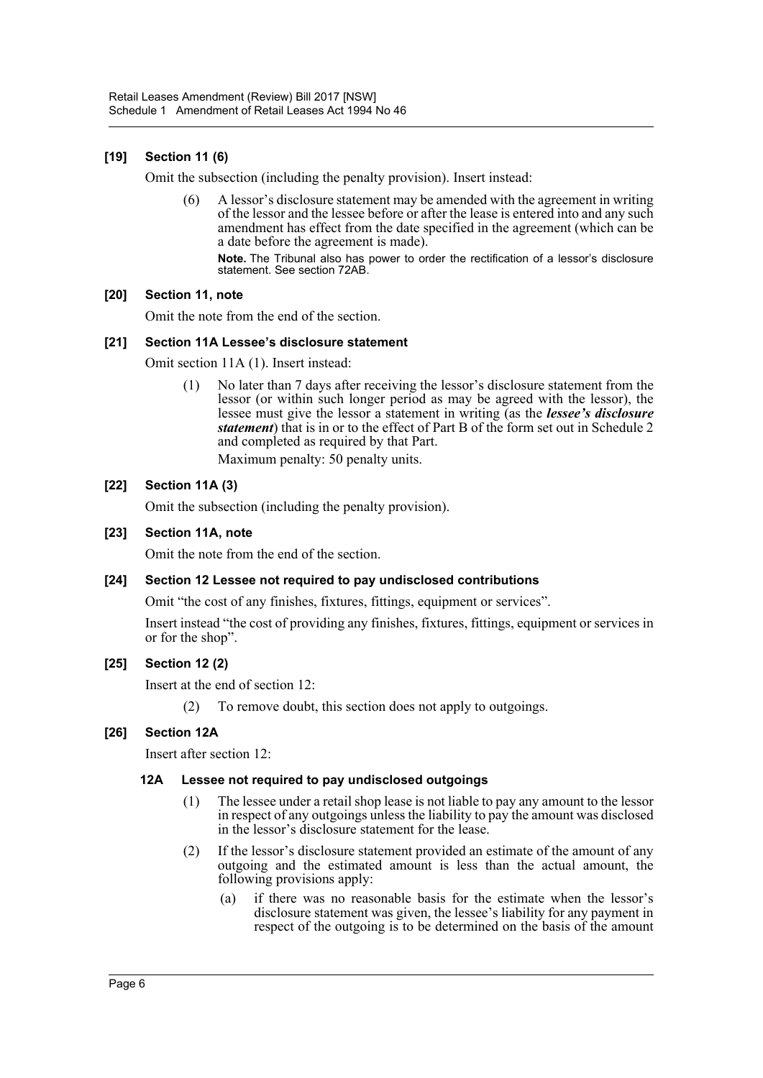# **[19] Section 11 (6)**

Omit the subsection (including the penalty provision). Insert instead:

(6) A lessor's disclosure statement may be amended with the agreement in writing of the lessor and the lessee before or after the lease is entered into and any such amendment has effect from the date specified in the agreement (which can be a date before the agreement is made).

**Note.** The Tribunal also has power to order the rectification of a lessor's disclosure statement. See section 72AB.

#### **[20] Section 11, note**

Omit the note from the end of the section.

#### **[21] Section 11A Lessee's disclosure statement**

Omit section 11A (1). Insert instead:

(1) No later than 7 days after receiving the lessor's disclosure statement from the lessor (or within such longer period as may be agreed with the lessor), the lessee must give the lessor a statement in writing (as the *lessee's disclosure statement*) that is in or to the effect of Part B of the form set out in Schedule 2 and completed as required by that Part.

Maximum penalty: 50 penalty units.

# **[22] Section 11A (3)**

Omit the subsection (including the penalty provision).

#### **[23] Section 11A, note**

Omit the note from the end of the section.

#### **[24] Section 12 Lessee not required to pay undisclosed contributions**

Omit "the cost of any finishes, fixtures, fittings, equipment or services".

Insert instead "the cost of providing any finishes, fixtures, fittings, equipment or services in or for the shop".

#### **[25] Section 12 (2)**

Insert at the end of section 12:

(2) To remove doubt, this section does not apply to outgoings.

#### **[26] Section 12A**

Insert after section 12:

#### **12A Lessee not required to pay undisclosed outgoings**

- (1) The lessee under a retail shop lease is not liable to pay any amount to the lessor in respect of any outgoings unless the liability to pay the amount was disclosed in the lessor's disclosure statement for the lease.
- (2) If the lessor's disclosure statement provided an estimate of the amount of any outgoing and the estimated amount is less than the actual amount, the following provisions apply:
	- (a) if there was no reasonable basis for the estimate when the lessor's disclosure statement was given, the lessee's liability for any payment in respect of the outgoing is to be determined on the basis of the amount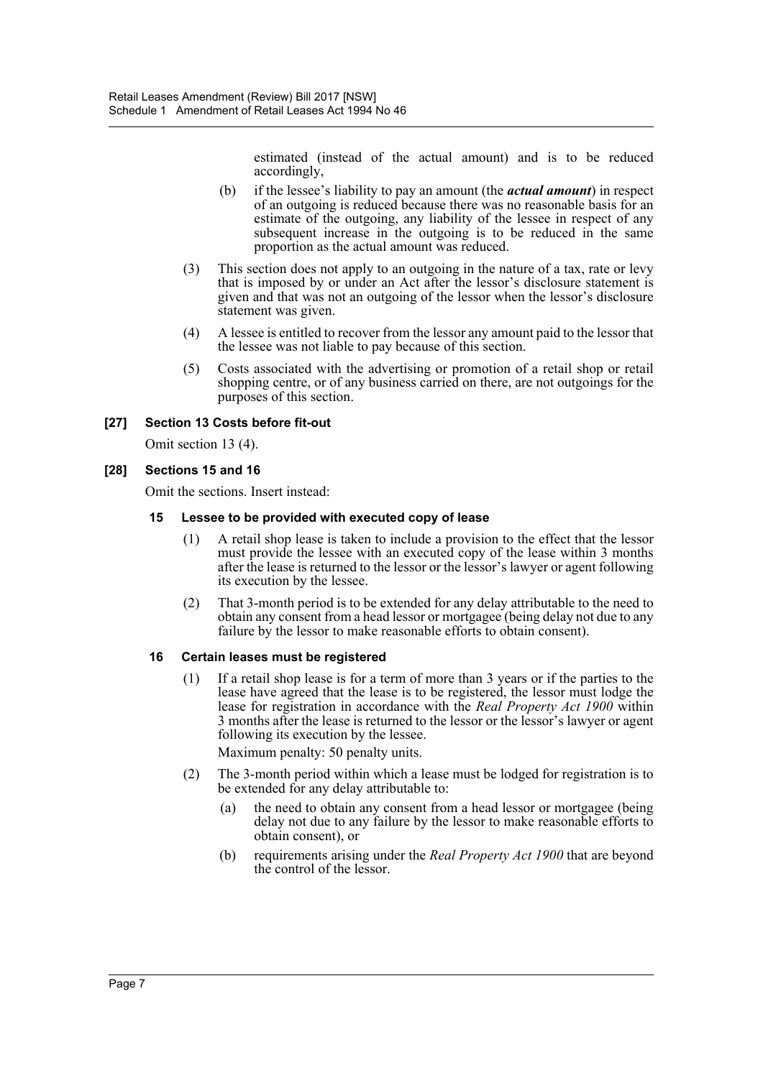estimated (instead of the actual amount) and is to be reduced accordingly,

- (b) if the lessee's liability to pay an amount (the *actual amount*) in respect of an outgoing is reduced because there was no reasonable basis for an estimate of the outgoing, any liability of the lessee in respect of any subsequent increase in the outgoing is to be reduced in the same proportion as the actual amount was reduced.
- (3) This section does not apply to an outgoing in the nature of a tax, rate or levy that is imposed by or under an Act after the lessor's disclosure statement is given and that was not an outgoing of the lessor when the lessor's disclosure statement was given.
- (4) A lessee is entitled to recover from the lessor any amount paid to the lessor that the lessee was not liable to pay because of this section.
- (5) Costs associated with the advertising or promotion of a retail shop or retail shopping centre, or of any business carried on there, are not outgoings for the purposes of this section.

#### **[27] Section 13 Costs before fit-out**

Omit section 13 (4).

#### **[28] Sections 15 and 16**

Omit the sections. Insert instead:

#### **15 Lessee to be provided with executed copy of lease**

- (1) A retail shop lease is taken to include a provision to the effect that the lessor must provide the lessee with an executed copy of the lease within 3 months after the lease is returned to the lessor or the lessor's lawyer or agent following its execution by the lessee.
- (2) That 3-month period is to be extended for any delay attributable to the need to obtain any consent from a head lessor or mortgagee (being delay not due to any failure by the lessor to make reasonable efforts to obtain consent).

#### **16 Certain leases must be registered**

(1) If a retail shop lease is for a term of more than 3 years or if the parties to the lease have agreed that the lease is to be registered, the lessor must lodge the lease for registration in accordance with the *Real Property Act 1900* within 3 months after the lease is returned to the lessor or the lessor's lawyer or agent following its execution by the lessee.

Maximum penalty: 50 penalty units.

- (2) The 3-month period within which a lease must be lodged for registration is to be extended for any delay attributable to:
	- (a) the need to obtain any consent from a head lessor or mortgagee (being delay not due to any failure by the lessor to make reasonable efforts to obtain consent), or
	- (b) requirements arising under the *Real Property Act 1900* that are beyond the control of the lessor.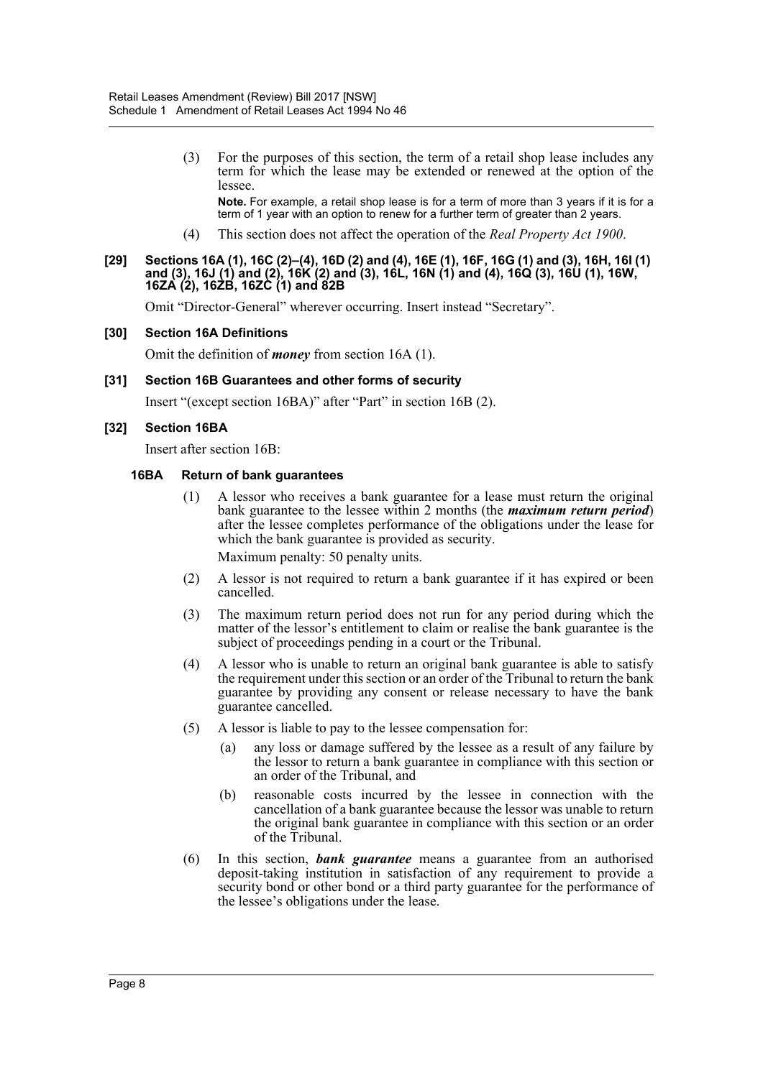(3) For the purposes of this section, the term of a retail shop lease includes any term for which the lease may be extended or renewed at the option of the lessee.

**Note.** For example, a retail shop lease is for a term of more than 3 years if it is for a term of 1 year with an option to renew for a further term of greater than 2 years.

(4) This section does not affect the operation of the *Real Property Act 1900*.

#### **[29] Sections 16A (1), 16C (2)–(4), 16D (2) and (4), 16E (1), 16F, 16G (1) and (3), 16H, 16I (1) and (3), 16J (1) and (2), 16K (2) and (3), 16L, 16N (1) and (4), 16Q (3), 16U (1), 16W, 16ZA (2), 16ZB, 16ZC (1) and 82B**

Omit "Director-General" wherever occurring. Insert instead "Secretary".

#### **[30] Section 16A Definitions**

Omit the definition of *money* from section 16A (1).

#### **[31] Section 16B Guarantees and other forms of security**

Insert "(except section 16BA)" after "Part" in section 16B (2).

#### **[32] Section 16BA**

Insert after section 16B:

#### **16BA Return of bank guarantees**

(1) A lessor who receives a bank guarantee for a lease must return the original bank guarantee to the lessee within 2 months (the *maximum return period*) after the lessee completes performance of the obligations under the lease for which the bank guarantee is provided as security.

Maximum penalty: 50 penalty units.

- (2) A lessor is not required to return a bank guarantee if it has expired or been cancelled.
- (3) The maximum return period does not run for any period during which the matter of the lessor's entitlement to claim or realise the bank guarantee is the subject of proceedings pending in a court or the Tribunal.
- (4) A lessor who is unable to return an original bank guarantee is able to satisfy the requirement under this section or an order of the Tribunal to return the bank guarantee by providing any consent or release necessary to have the bank guarantee cancelled.
- (5) A lessor is liable to pay to the lessee compensation for:
	- (a) any loss or damage suffered by the lessee as a result of any failure by the lessor to return a bank guarantee in compliance with this section or an order of the Tribunal, and
	- (b) reasonable costs incurred by the lessee in connection with the cancellation of a bank guarantee because the lessor was unable to return the original bank guarantee in compliance with this section or an order of the Tribunal.
- (6) In this section, *bank guarantee* means a guarantee from an authorised deposit-taking institution in satisfaction of any requirement to provide a security bond or other bond or a third party guarantee for the performance of the lessee's obligations under the lease.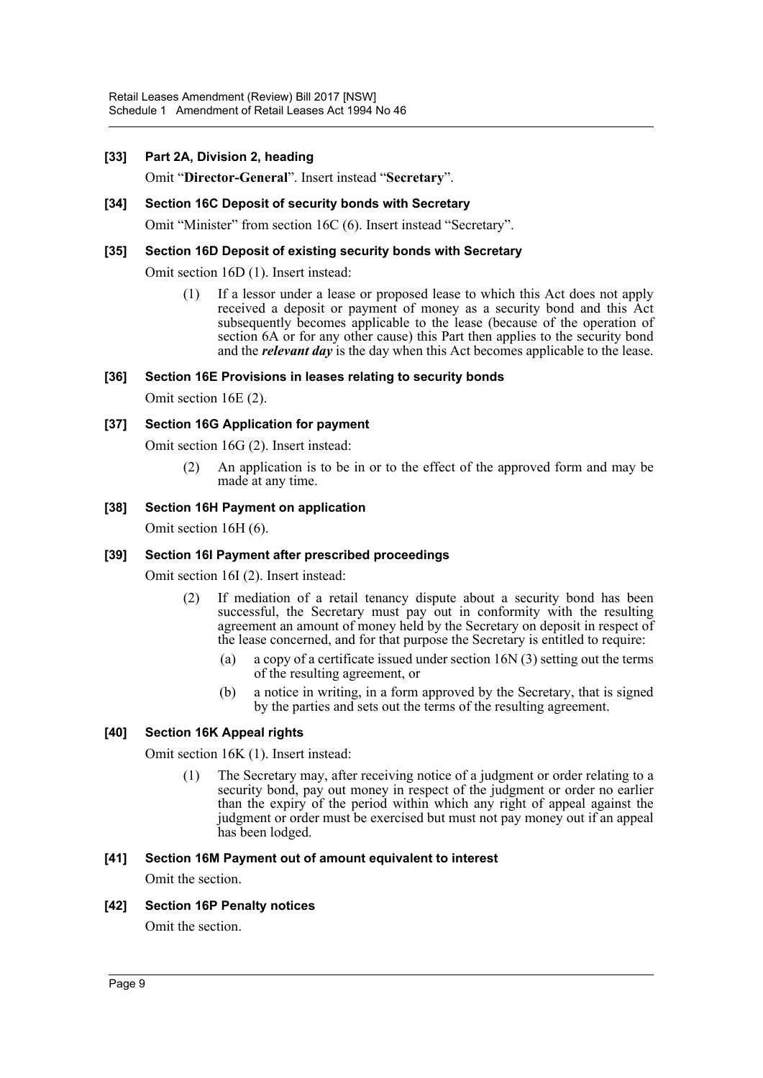#### **[33] Part 2A, Division 2, heading**

Omit "**Director-General**". Insert instead "**Secretary**".

#### **[34] Section 16C Deposit of security bonds with Secretary**

Omit "Minister" from section 16C (6). Insert instead "Secretary".

#### **[35] Section 16D Deposit of existing security bonds with Secretary**

Omit section 16D (1). Insert instead:

(1) If a lessor under a lease or proposed lease to which this Act does not apply received a deposit or payment of money as a security bond and this Act subsequently becomes applicable to the lease (because of the operation of section 6A or for any other cause) this Part then applies to the security bond and the *relevant day* is the day when this Act becomes applicable to the lease.

#### **[36] Section 16E Provisions in leases relating to security bonds**

Omit section 16E (2).

#### **[37] Section 16G Application for payment**

Omit section 16G (2). Insert instead:

(2) An application is to be in or to the effect of the approved form and may be made at any time.

#### **[38] Section 16H Payment on application**

Omit section 16H (6).

#### **[39] Section 16I Payment after prescribed proceedings**

Omit section 16I (2). Insert instead:

- (2) If mediation of a retail tenancy dispute about a security bond has been successful, the Secretary must pay out in conformity with the resulting agreement an amount of money held by the Secretary on deposit in respect of the lease concerned, and for that purpose the Secretary is entitled to require:
	- (a) a copy of a certificate issued under section 16N (3) setting out the terms of the resulting agreement, or
	- (b) a notice in writing, in a form approved by the Secretary, that is signed by the parties and sets out the terms of the resulting agreement.

#### **[40] Section 16K Appeal rights**

Omit section 16K (1). Insert instead:

(1) The Secretary may, after receiving notice of a judgment or order relating to a security bond, pay out money in respect of the judgment or order no earlier than the expiry of the period within which any right of appeal against the judgment or order must be exercised but must not pay money out if an appeal has been lodged.

#### **[41] Section 16M Payment out of amount equivalent to interest**

Omit the section.

#### **[42] Section 16P Penalty notices**

Omit the section.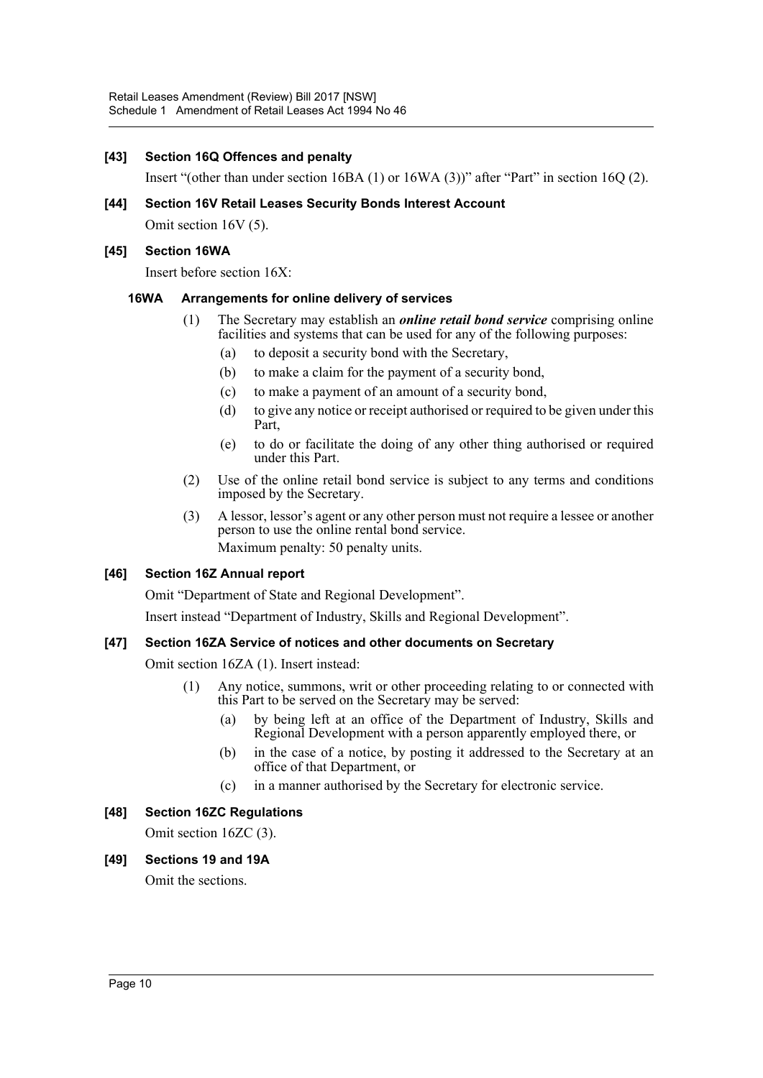#### **[43] Section 16Q Offences and penalty**

Insert "(other than under section 16BA (1) or 16WA (3))" after "Part" in section 16Q (2).

**[44] Section 16V Retail Leases Security Bonds Interest Account**

Omit section 16V (5).

#### **[45] Section 16WA**

Insert before section 16X:

#### **16WA Arrangements for online delivery of services**

- (1) The Secretary may establish an *online retail bond service* comprising online facilities and systems that can be used for any of the following purposes:
	- (a) to deposit a security bond with the Secretary,
	- (b) to make a claim for the payment of a security bond,
	- (c) to make a payment of an amount of a security bond,
	- (d) to give any notice or receipt authorised or required to be given under this Part,
	- (e) to do or facilitate the doing of any other thing authorised or required under this Part.
- (2) Use of the online retail bond service is subject to any terms and conditions imposed by the Secretary.
- (3) A lessor, lessor's agent or any other person must not require a lessee or another person to use the online rental bond service. Maximum penalty: 50 penalty units.

# **[46] Section 16Z Annual report**

Omit "Department of State and Regional Development".

Insert instead "Department of Industry, Skills and Regional Development".

#### **[47] Section 16ZA Service of notices and other documents on Secretary**

Omit section 16ZA (1). Insert instead:

- (1) Any notice, summons, writ or other proceeding relating to or connected with this Part to be served on the Secretary may be served:
	- (a) by being left at an office of the Department of Industry, Skills and Regional Development with a person apparently employed there, or
	- (b) in the case of a notice, by posting it addressed to the Secretary at an office of that Department, or
	- (c) in a manner authorised by the Secretary for electronic service.

# **[48] Section 16ZC Regulations**

Omit section 16ZC (3).

**[49] Sections 19 and 19A**

Omit the sections.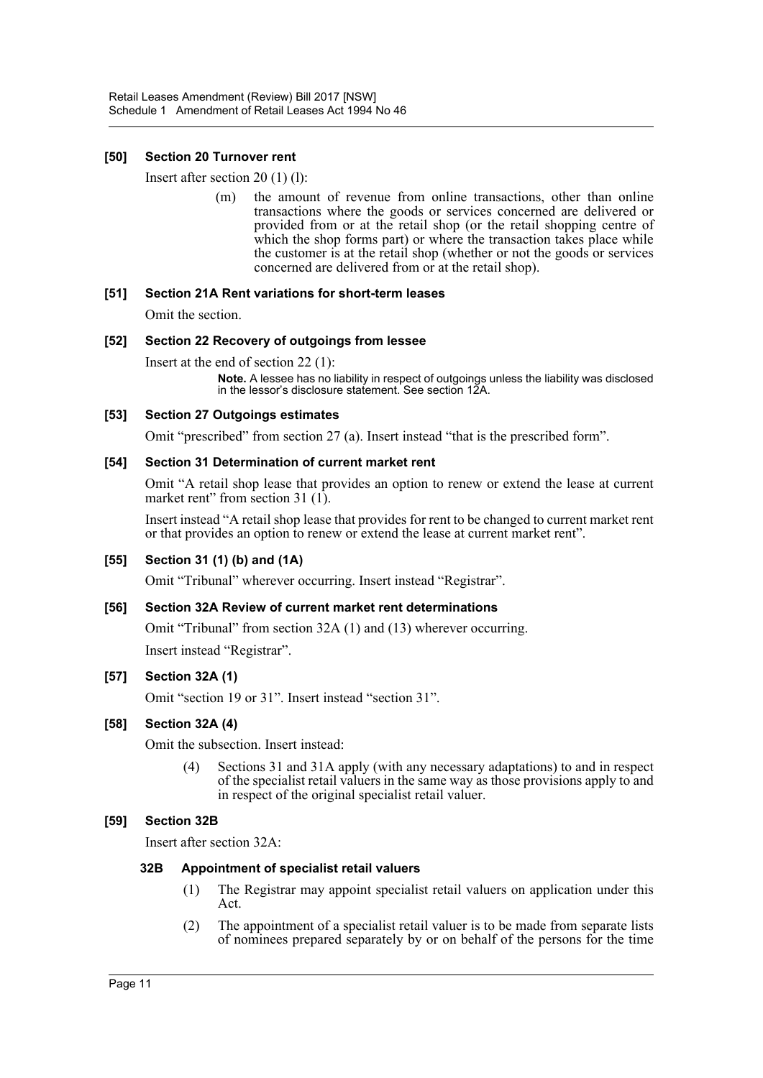### **[50] Section 20 Turnover rent**

Insert after section 20 (1) (l):

(m) the amount of revenue from online transactions, other than online transactions where the goods or services concerned are delivered or provided from or at the retail shop (or the retail shopping centre of which the shop forms part) or where the transaction takes place while the customer is at the retail shop (whether or not the goods or services concerned are delivered from or at the retail shop).

#### **[51] Section 21A Rent variations for short-term leases**

Omit the section.

#### **[52] Section 22 Recovery of outgoings from lessee**

Insert at the end of section 22 (1):

**Note.** A lessee has no liability in respect of outgoings unless the liability was disclosed in the lessor's disclosure statement. See section 12A.

#### **[53] Section 27 Outgoings estimates**

Omit "prescribed" from section 27 (a). Insert instead "that is the prescribed form".

#### **[54] Section 31 Determination of current market rent**

Omit "A retail shop lease that provides an option to renew or extend the lease at current market rent" from section 31 (1).

Insert instead "A retail shop lease that provides for rent to be changed to current market rent or that provides an option to renew or extend the lease at current market rent".

# **[55] Section 31 (1) (b) and (1A)**

Omit "Tribunal" wherever occurring. Insert instead "Registrar".

#### **[56] Section 32A Review of current market rent determinations**

Omit "Tribunal" from section 32A (1) and (13) wherever occurring.

Insert instead "Registrar".

# **[57] Section 32A (1)**

Omit "section 19 or 31". Insert instead "section 31".

#### **[58] Section 32A (4)**

Omit the subsection. Insert instead:

(4) Sections 31 and 31A apply (with any necessary adaptations) to and in respect of the specialist retail valuers in the same way as those provisions apply to and in respect of the original specialist retail valuer.

# **[59] Section 32B**

Insert after section 32A:

#### **32B Appointment of specialist retail valuers**

- (1) The Registrar may appoint specialist retail valuers on application under this Act.
- (2) The appointment of a specialist retail valuer is to be made from separate lists of nominees prepared separately by or on behalf of the persons for the time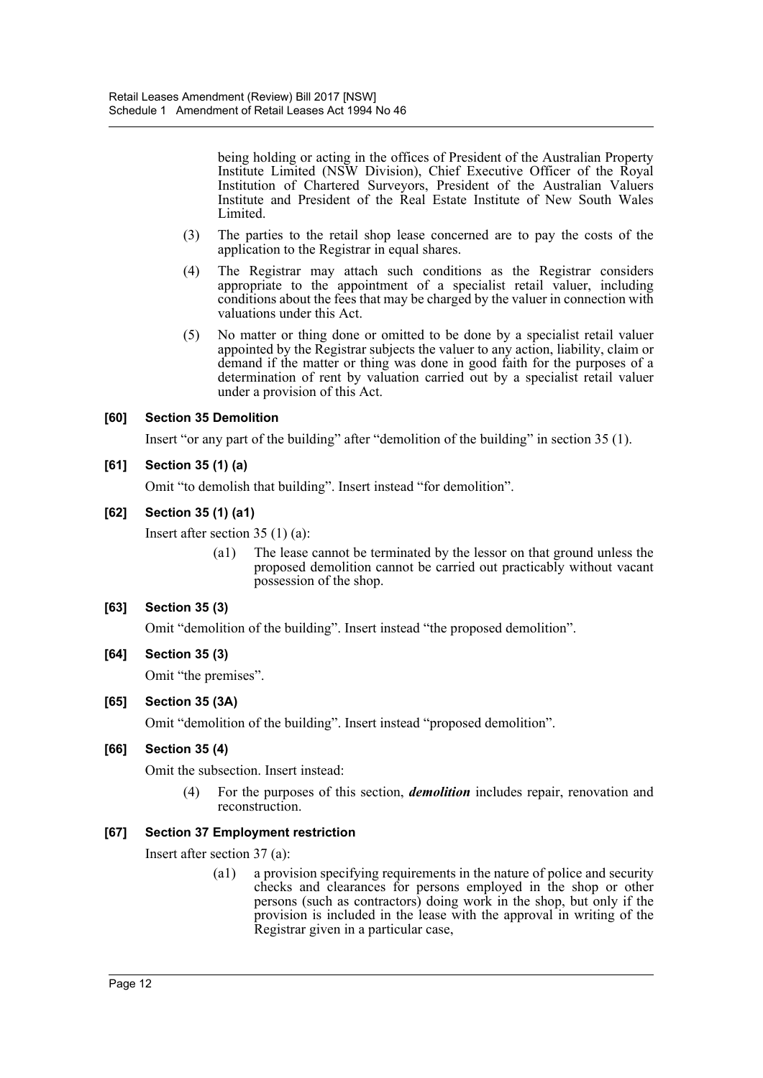being holding or acting in the offices of President of the Australian Property Institute Limited (NSW Division), Chief Executive Officer of the Royal Institution of Chartered Surveyors, President of the Australian Valuers Institute and President of the Real Estate Institute of New South Wales Limited.

- (3) The parties to the retail shop lease concerned are to pay the costs of the application to the Registrar in equal shares.
- (4) The Registrar may attach such conditions as the Registrar considers appropriate to the appointment of a specialist retail valuer, including conditions about the fees that may be charged by the valuer in connection with valuations under this Act.
- (5) No matter or thing done or omitted to be done by a specialist retail valuer appointed by the Registrar subjects the valuer to any action, liability, claim or demand if the matter or thing was done in good faith for the purposes of a determination of rent by valuation carried out by a specialist retail valuer under a provision of this Act.

# **[60] Section 35 Demolition**

Insert "or any part of the building" after "demolition of the building" in section 35 (1).

#### **[61] Section 35 (1) (a)**

Omit "to demolish that building". Insert instead "for demolition".

#### **[62] Section 35 (1) (a1)**

Insert after section 35 (1) (a):

(a1) The lease cannot be terminated by the lessor on that ground unless the proposed demolition cannot be carried out practicably without vacant possession of the shop.

# **[63] Section 35 (3)**

Omit "demolition of the building". Insert instead "the proposed demolition".

#### **[64] Section 35 (3)**

Omit "the premises".

# **[65] Section 35 (3A)**

Omit "demolition of the building". Insert instead "proposed demolition".

# **[66] Section 35 (4)**

Omit the subsection. Insert instead:

(4) For the purposes of this section, *demolition* includes repair, renovation and reconstruction.

#### **[67] Section 37 Employment restriction**

Insert after section 37 (a):

(a1) a provision specifying requirements in the nature of police and security checks and clearances for persons employed in the shop or other persons (such as contractors) doing work in the shop, but only if the provision is included in the lease with the approval in writing of the Registrar given in a particular case,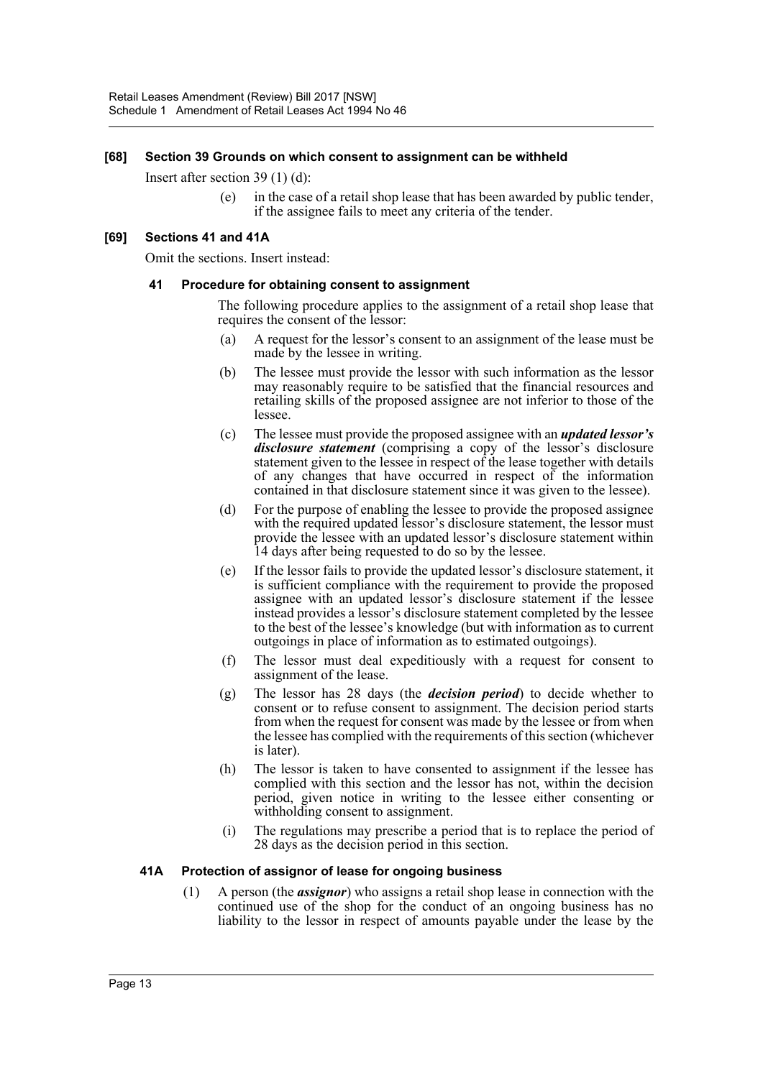#### **[68] Section 39 Grounds on which consent to assignment can be withheld**

Insert after section 39 (1) (d):

(e) in the case of a retail shop lease that has been awarded by public tender, if the assignee fails to meet any criteria of the tender.

#### **[69] Sections 41 and 41A**

Omit the sections. Insert instead:

#### **41 Procedure for obtaining consent to assignment**

The following procedure applies to the assignment of a retail shop lease that requires the consent of the lessor:

- (a) A request for the lessor's consent to an assignment of the lease must be made by the lessee in writing.
- (b) The lessee must provide the lessor with such information as the lessor may reasonably require to be satisfied that the financial resources and retailing skills of the proposed assignee are not inferior to those of the lessee.
- (c) The lessee must provide the proposed assignee with an *updated lessor's disclosure statement* (comprising a copy of the lessor's disclosure statement given to the lessee in respect of the lease together with details of any changes that have occurred in respect of the information contained in that disclosure statement since it was given to the lessee).
- (d) For the purpose of enabling the lessee to provide the proposed assignee with the required updated lessor's disclosure statement, the lessor must provide the lessee with an updated lessor's disclosure statement within 14 days after being requested to do so by the lessee.
- (e) If the lessor fails to provide the updated lessor's disclosure statement, it is sufficient compliance with the requirement to provide the proposed assignee with an updated lessor's disclosure statement if the lessee instead provides a lessor's disclosure statement completed by the lessee to the best of the lessee's knowledge (but with information as to current outgoings in place of information as to estimated outgoings).
- (f) The lessor must deal expeditiously with a request for consent to assignment of the lease.
- (g) The lessor has 28 days (the *decision period*) to decide whether to consent or to refuse consent to assignment. The decision period starts from when the request for consent was made by the lessee or from when the lessee has complied with the requirements of this section (whichever is later).
- (h) The lessor is taken to have consented to assignment if the lessee has complied with this section and the lessor has not, within the decision period, given notice in writing to the lessee either consenting or withholding consent to assignment.
- (i) The regulations may prescribe a period that is to replace the period of 28 days as the decision period in this section.

#### **41A Protection of assignor of lease for ongoing business**

(1) A person (the *assignor*) who assigns a retail shop lease in connection with the continued use of the shop for the conduct of an ongoing business has no liability to the lessor in respect of amounts payable under the lease by the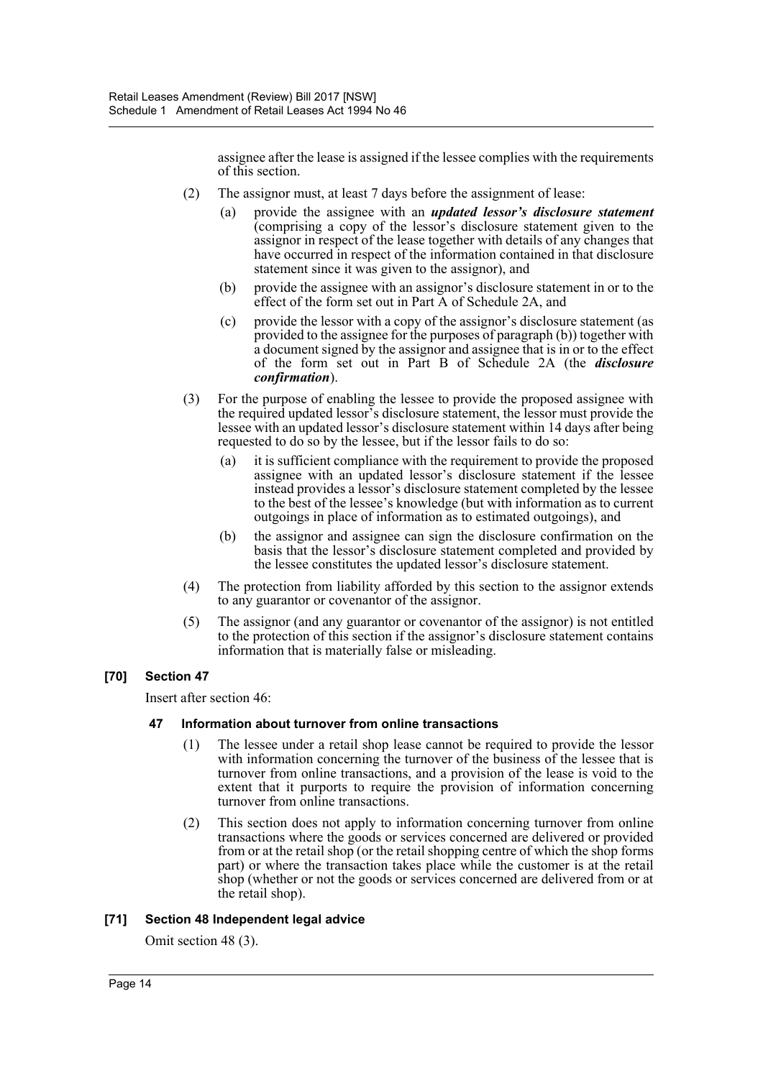assignee after the lease is assigned if the lessee complies with the requirements of this section.

- (2) The assignor must, at least 7 days before the assignment of lease:
	- (a) provide the assignee with an *updated lessor's disclosure statement* (comprising a copy of the lessor's disclosure statement given to the assignor in respect of the lease together with details of any changes that have occurred in respect of the information contained in that disclosure statement since it was given to the assignor), and
	- (b) provide the assignee with an assignor's disclosure statement in or to the effect of the form set out in Part A of Schedule 2A, and
	- (c) provide the lessor with a copy of the assignor's disclosure statement (as provided to the assignee for the purposes of paragraph (b)) together with a document signed by the assignor and assignee that is in or to the effect of the form set out in Part B of Schedule 2A (the *disclosure confirmation*).
- (3) For the purpose of enabling the lessee to provide the proposed assignee with the required updated lessor's disclosure statement, the lessor must provide the lessee with an updated lessor's disclosure statement within 14 days after being requested to do so by the lessee, but if the lessor fails to do so:
	- (a) it is sufficient compliance with the requirement to provide the proposed assignee with an updated lessor's disclosure statement if the lessee instead provides a lessor's disclosure statement completed by the lessee to the best of the lessee's knowledge (but with information as to current outgoings in place of information as to estimated outgoings), and
	- (b) the assignor and assignee can sign the disclosure confirmation on the basis that the lessor's disclosure statement completed and provided by the lessee constitutes the updated lessor's disclosure statement.
- (4) The protection from liability afforded by this section to the assignor extends to any guarantor or covenantor of the assignor.
- (5) The assignor (and any guarantor or covenantor of the assignor) is not entitled to the protection of this section if the assignor's disclosure statement contains information that is materially false or misleading.

# **[70] Section 47**

Insert after section 46:

#### **47 Information about turnover from online transactions**

- (1) The lessee under a retail shop lease cannot be required to provide the lessor with information concerning the turnover of the business of the lessee that is turnover from online transactions, and a provision of the lease is void to the extent that it purports to require the provision of information concerning turnover from online transactions.
- (2) This section does not apply to information concerning turnover from online transactions where the goods or services concerned are delivered or provided from or at the retail shop (or the retail shopping centre of which the shop forms part) or where the transaction takes place while the customer is at the retail shop (whether or not the goods or services concerned are delivered from or at the retail shop).

#### **[71] Section 48 Independent legal advice**

Omit section 48 (3).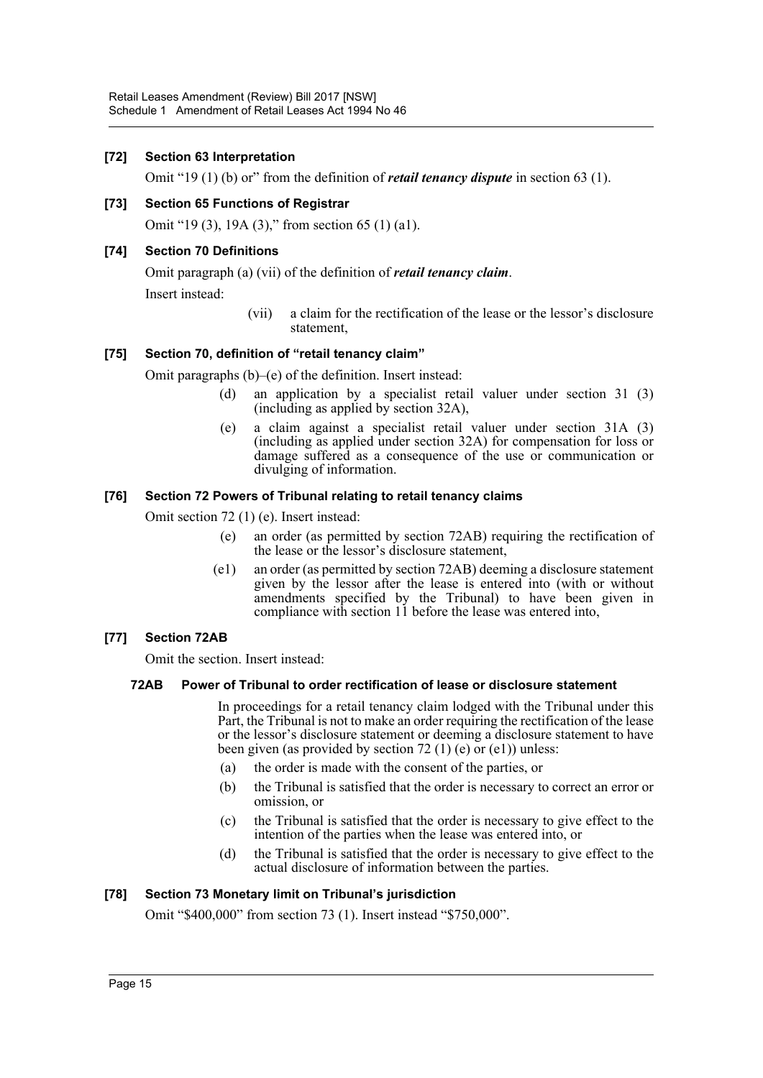#### **[72] Section 63 Interpretation**

Omit "19 (1) (b) or" from the definition of *retail tenancy dispute* in section 63 (1).

#### **[73] Section 65 Functions of Registrar**

Omit "19 (3), 19A (3)," from section 65 (1) (a1).

#### **[74] Section 70 Definitions**

Omit paragraph (a) (vii) of the definition of *retail tenancy claim*. Insert instead:

> (vii) a claim for the rectification of the lease or the lessor's disclosure statement,

#### **[75] Section 70, definition of "retail tenancy claim"**

Omit paragraphs (b)–(e) of the definition. Insert instead:

- (d) an application by a specialist retail valuer under section 31 (3) (including as applied by section 32A),
- (e) a claim against a specialist retail valuer under section 31A (3) (including as applied under section 32A) for compensation for loss or damage suffered as a consequence of the use or communication or divulging of information.

#### **[76] Section 72 Powers of Tribunal relating to retail tenancy claims**

Omit section 72 (1) (e). Insert instead:

- (e) an order (as permitted by section 72AB) requiring the rectification of the lease or the lessor's disclosure statement,
- (e1) an order (as permitted by section 72AB) deeming a disclosure statement given by the lessor after the lease is entered into (with or without amendments specified by the Tribunal) to have been given in compliance with section 11 before the lease was entered into,

# **[77] Section 72AB**

Omit the section. Insert instead:

#### **72AB Power of Tribunal to order rectification of lease or disclosure statement**

In proceedings for a retail tenancy claim lodged with the Tribunal under this Part, the Tribunal is not to make an order requiring the rectification of the lease or the lessor's disclosure statement or deeming a disclosure statement to have been given (as provided by section 72 (1) (e) or (e1)) unless:

- (a) the order is made with the consent of the parties, or
- (b) the Tribunal is satisfied that the order is necessary to correct an error or omission, or
- (c) the Tribunal is satisfied that the order is necessary to give effect to the intention of the parties when the lease was entered into, or
- (d) the Tribunal is satisfied that the order is necessary to give effect to the actual disclosure of information between the parties.

# **[78] Section 73 Monetary limit on Tribunal's jurisdiction**

Omit "\$400,000" from section 73 (1). Insert instead "\$750,000".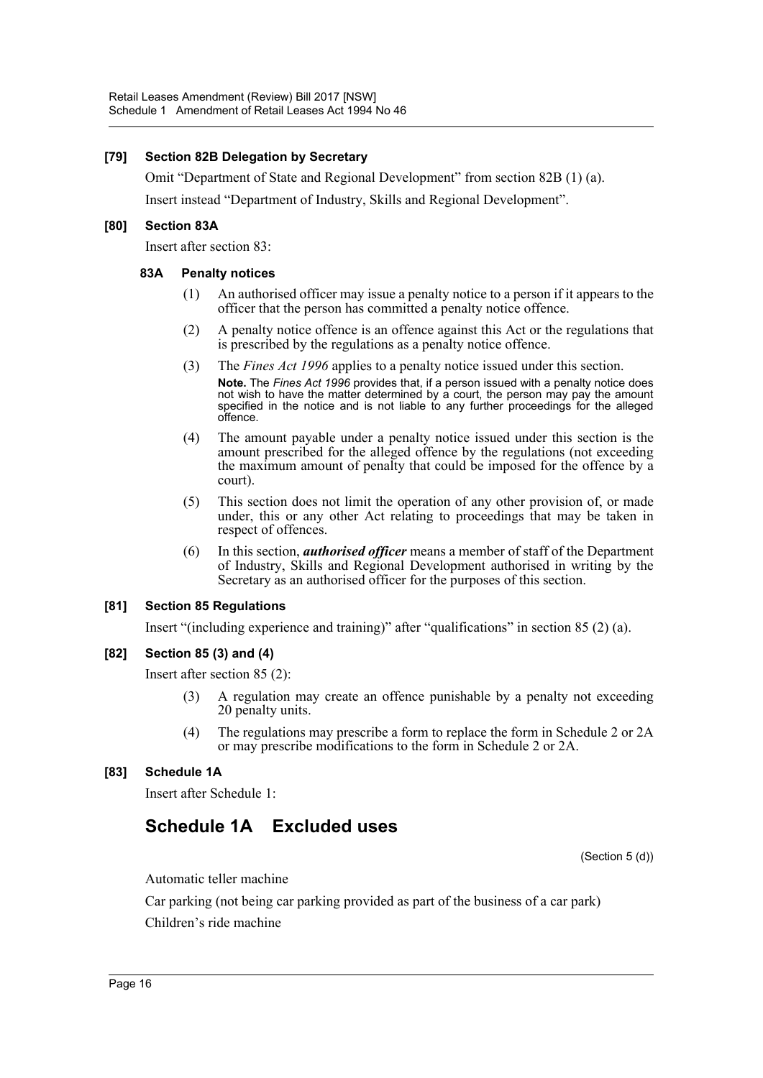#### **[79] Section 82B Delegation by Secretary**

Omit "Department of State and Regional Development" from section 82B (1) (a).

Insert instead "Department of Industry, Skills and Regional Development".

#### **[80] Section 83A**

Insert after section 83:

#### **83A Penalty notices**

- (1) An authorised officer may issue a penalty notice to a person if it appears to the officer that the person has committed a penalty notice offence.
- (2) A penalty notice offence is an offence against this Act or the regulations that is prescribed by the regulations as a penalty notice offence.
- (3) The *Fines Act 1996* applies to a penalty notice issued under this section. **Note.** The *Fines Act 1996* provides that, if a person issued with a penalty notice does not wish to have the matter determined by a court, the person may pay the amount specified in the notice and is not liable to any further proceedings for the alleged offence.
- (4) The amount payable under a penalty notice issued under this section is the amount prescribed for the alleged offence by the regulations (not exceeding the maximum amount of penalty that could be imposed for the offence by a court).
- (5) This section does not limit the operation of any other provision of, or made under, this or any other Act relating to proceedings that may be taken in respect of offences.
- (6) In this section, *authorised officer* means a member of staff of the Department of Industry, Skills and Regional Development authorised in writing by the Secretary as an authorised officer for the purposes of this section.

#### **[81] Section 85 Regulations**

Insert "(including experience and training)" after "qualifications" in section 85 (2) (a).

#### **[82] Section 85 (3) and (4)**

Insert after section 85 (2):

- (3) A regulation may create an offence punishable by a penalty not exceeding 20 penalty units.
- (4) The regulations may prescribe a form to replace the form in Schedule 2 or 2A or may prescribe modifications to the form in Schedule 2 or 2A.

# **[83] Schedule 1A**

Insert after Schedule 1:

# **Schedule 1A Excluded uses**

(Section 5 (d))

Automatic teller machine

Car parking (not being car parking provided as part of the business of a car park) Children's ride machine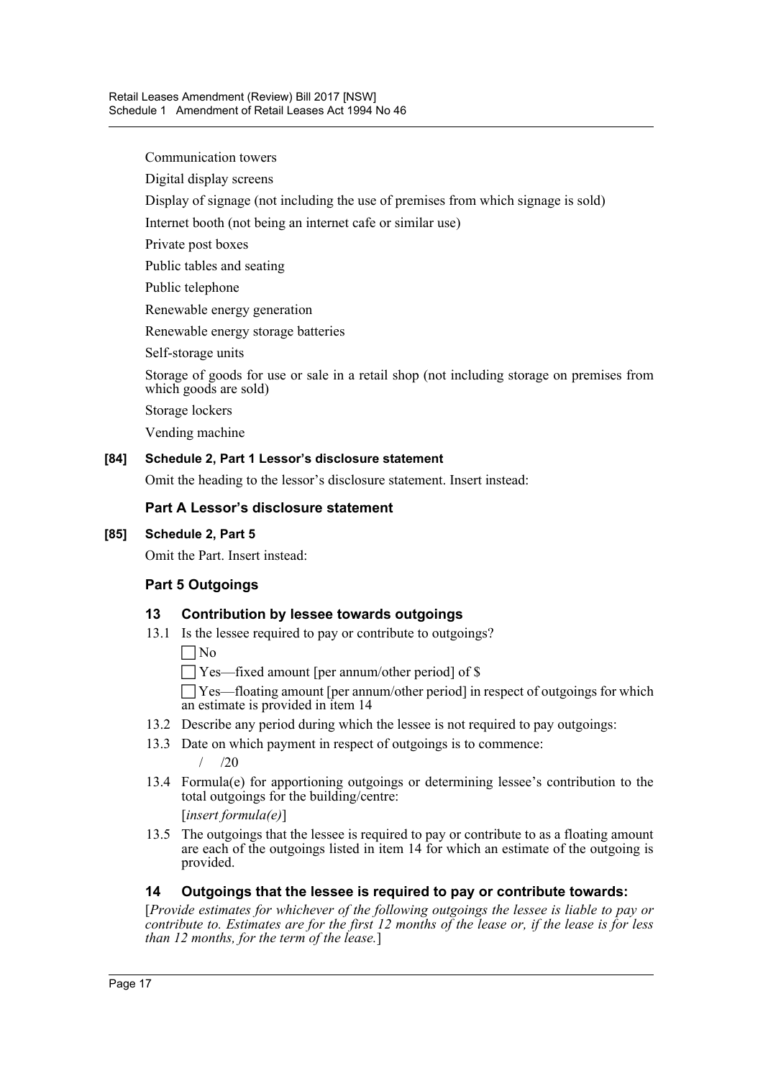Communication towers

Digital display screens

Display of signage (not including the use of premises from which signage is sold)

Internet booth (not being an internet cafe or similar use)

Private post boxes

Public tables and seating

Public telephone

Renewable energy generation

Renewable energy storage batteries

Self-storage units

Storage of goods for use or sale in a retail shop (not including storage on premises from which goods are sold)

Storage lockers

Vending machine

#### **[84] Schedule 2, Part 1 Lessor's disclosure statement**

Omit the heading to the lessor's disclosure statement. Insert instead:

# **Part A Lessor's disclosure statement**

### **[85] Schedule 2, Part 5**

Omit the Part. Insert instead:

# **Part 5 Outgoings**

# **13 Contribution by lessee towards outgoings**

13.1 Is the lessee required to pay or contribute to outgoings?

 $\Box$ No

Yes—fixed amount [per annum/other period] of \$

 Yes—floating amount [per annum/other period] in respect of outgoings for which an estimate is provided in item 14

- 13.2 Describe any period during which the lessee is not required to pay outgoings:
- 13.3 Date on which payment in respect of outgoings is to commence:

 $/20$ 

13.4 Formula(e) for apportioning outgoings or determining lessee's contribution to the total outgoings for the building/centre:

[*insert formula(e)*]

13.5 The outgoings that the lessee is required to pay or contribute to as a floating amount are each of the outgoings listed in item 14 for which an estimate of the outgoing is provided.

# **14 Outgoings that the lessee is required to pay or contribute towards:**

[*Provide estimates for whichever of the following outgoings the lessee is liable to pay or contribute to. Estimates are for the first 12 months of the lease or, if the lease is for less than 12 months, for the term of the lease.*]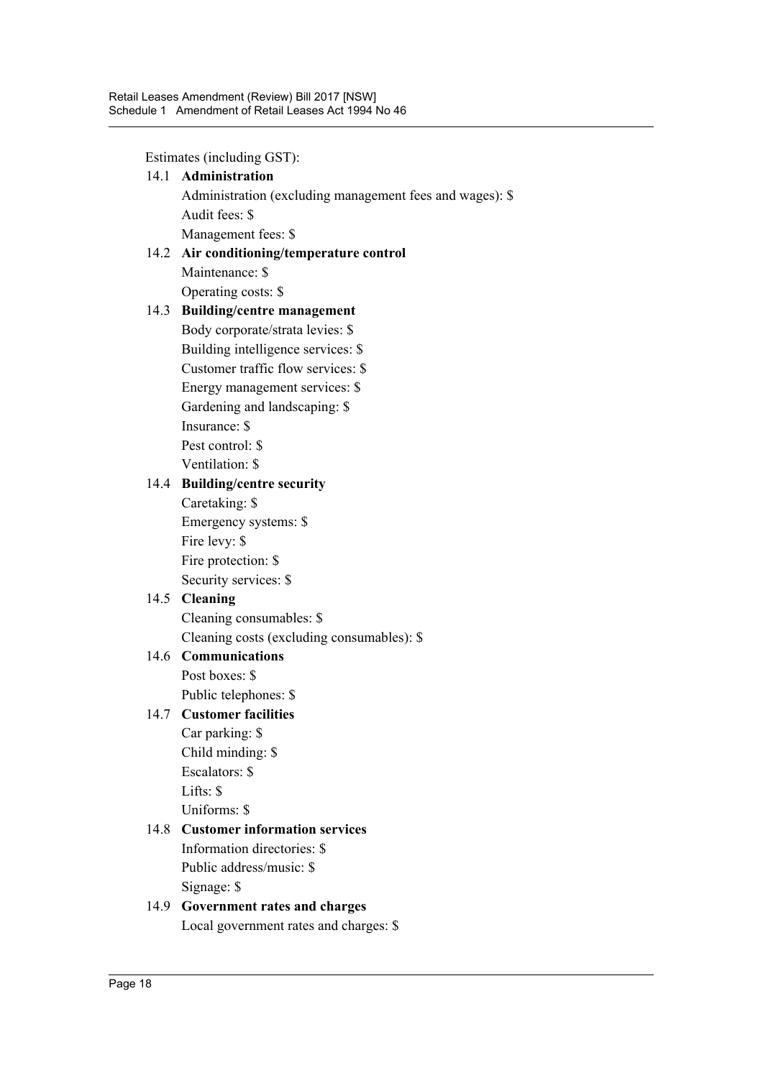Estimates (including GST):

14.1 **Administration** Administration (excluding management fees and wages): \$ Audit fees: \$ Management fees: \$

# 14.2 **Air conditioning/temperature control** Maintenance: \$ Operating costs: \$

# 14.3 **Building/centre management**

Body corporate/strata levies: \$ Building intelligence services: \$ Customer traffic flow services: \$ Energy management services: \$ Gardening and landscaping: \$ Insurance: \$ Pest control: \$ Ventilation: \$

# 14.4 **Building/centre security**

Caretaking: \$ Emergency systems: \$ Fire levy: \$ Fire protection: \$ Security services: \$

# 14.5 **Cleaning**

Cleaning consumables: \$ Cleaning costs (excluding consumables): \$

# 14.6 **Communications**

Post boxes: \$ Public telephones: \$

# 14.7 **Customer facilities**

Car parking: \$ Child minding: \$ Escalators: \$ Lifts: \$ Uniforms: \$

# 14.8 **Customer information services**

Information directories: \$ Public address/music: \$ Signage: \$

# 14.9 **Government rates and charges** Local government rates and charges: \$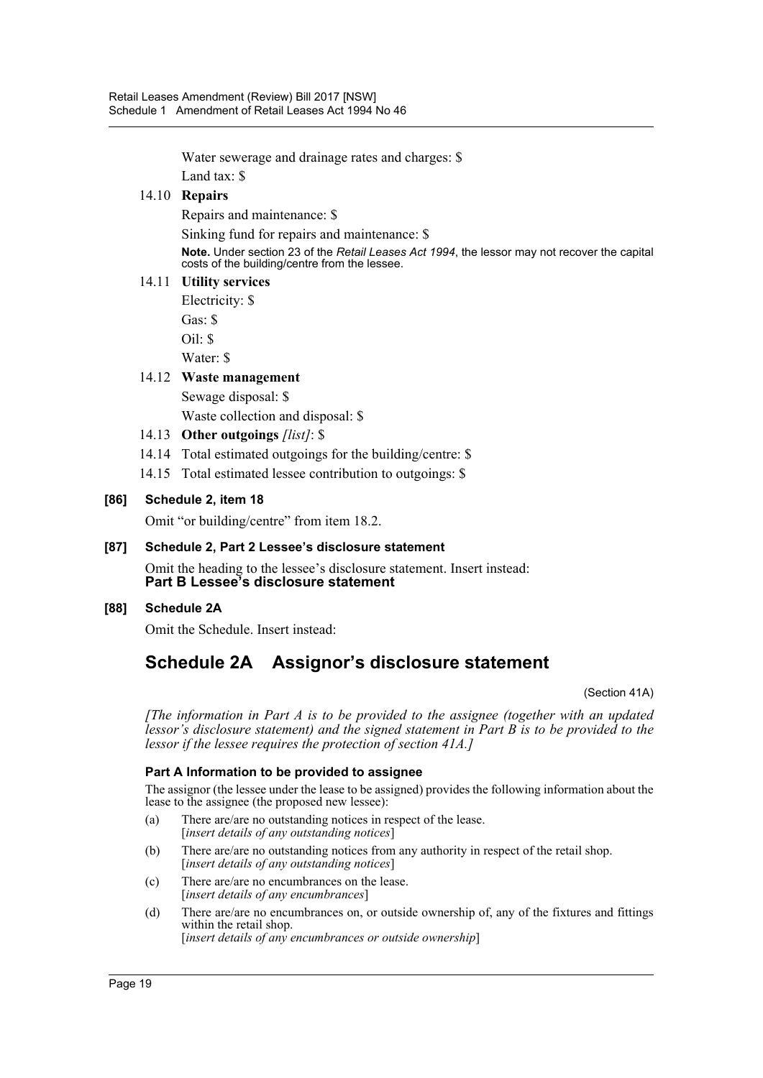Water sewerage and drainage rates and charges: \$

Land tax: \$

# 14.10 **Repairs**

Repairs and maintenance: \$

Sinking fund for repairs and maintenance: \$

**Note.** Under section 23 of the *Retail Leases Act 1994*, the lessor may not recover the capital costs of the building/centre from the lessee.

# 14.11 **Utility services**

Electricity: \$ Gas: \$

Oil: \$

Water: \$

# 14.12 **Waste management**

Sewage disposal: \$ Waste collection and disposal: \$

- 14.13 **Other outgoings** *[list]*: \$
- 14.14 Total estimated outgoings for the building/centre: \$
- 14.15 Total estimated lessee contribution to outgoings: \$

# **[86] Schedule 2, item 18**

Omit "or building/centre" from item 18.2.

# **[87] Schedule 2, Part 2 Lessee's disclosure statement**

Omit the heading to the lessee's disclosure statement. Insert instead: **Part B Lessee's disclosure statement**

# **[88] Schedule 2A**

Omit the Schedule. Insert instead:

# **Schedule 2A Assignor's disclosure statement**

(Section 41A)

*[The information in Part A is to be provided to the assignee (together with an updated lessor's disclosure statement) and the signed statement in Part B is to be provided to the lessor if the lessee requires the protection of section 41A.]*

# **Part A Information to be provided to assignee**

The assignor (the lessee under the lease to be assigned) provides the following information about the lease to the assignee (the proposed new lessee):

- (a) There are/are no outstanding notices in respect of the lease. [*insert details of any outstanding notices*]
- (b) There are/are no outstanding notices from any authority in respect of the retail shop. [*insert details of any outstanding notices*]
- (c) There are/are no encumbrances on the lease. [*insert details of any encumbrances*]
- (d) There are/are no encumbrances on, or outside ownership of, any of the fixtures and fittings within the retail shop. [*insert details of any encumbrances or outside ownership*]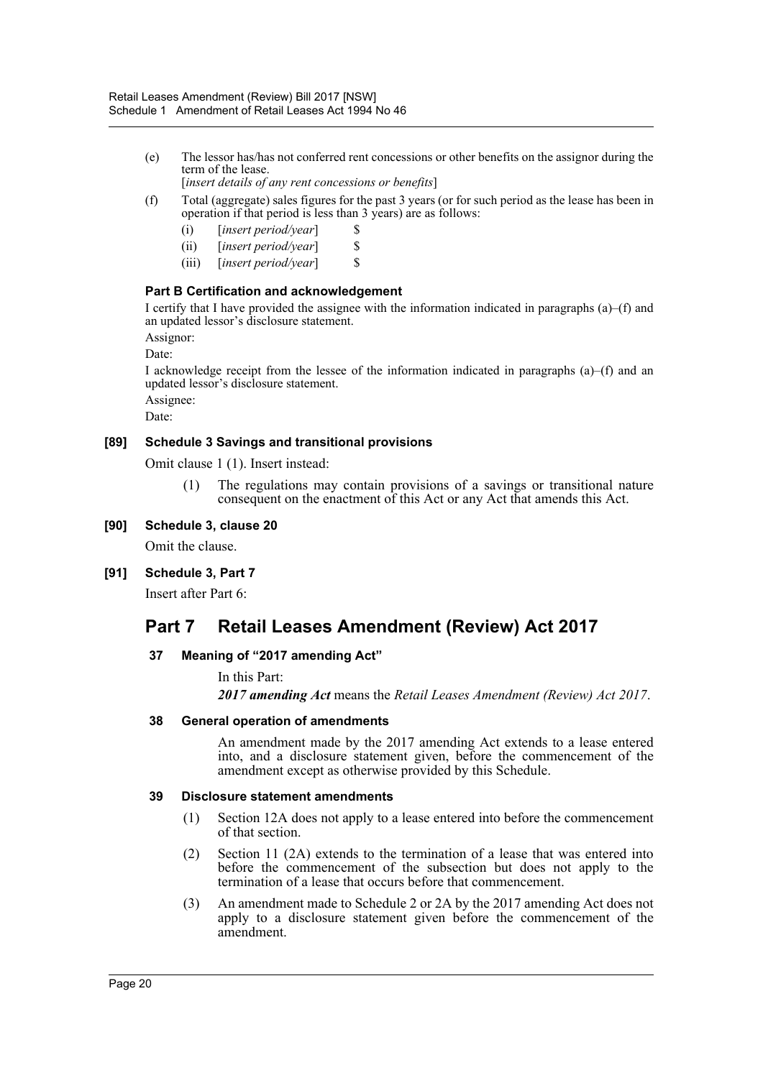- (e) The lessor has/has not conferred rent concessions or other benefits on the assignor during the term of the lease.
- [*insert details of any rent concessions or benefits*] (f) Total (aggregate) sales figures for the past 3 years (or for such period as the lease has been in
	- operation if that period is less than 3 years) are as follows:
		- (i) [*insert period/year*] \$
		- (ii) [*insert period/year*] \$
		- (iii) [*insert period/year*] \$

# **Part B Certification and acknowledgement**

I certify that I have provided the assignee with the information indicated in paragraphs (a)–(f) and an updated lessor's disclosure statement.

Assignor:

Date:

I acknowledge receipt from the lessee of the information indicated in paragraphs (a)–(f) and an updated lessor's disclosure statement.

Assignee:

Date:

# **[89] Schedule 3 Savings and transitional provisions**

Omit clause 1 (1). Insert instead:

(1) The regulations may contain provisions of a savings or transitional nature consequent on the enactment of this Act or any Act that amends this Act.

# **[90] Schedule 3, clause 20**

Omit the clause.

# **[91] Schedule 3, Part 7**

Insert after Part 6:

# **Part 7 Retail Leases Amendment (Review) Act 2017**

# **37 Meaning of "2017 amending Act"**

In this Part:

*2017 amending Act* means the *Retail Leases Amendment (Review) Act 2017*.

# **38 General operation of amendments**

An amendment made by the 2017 amending Act extends to a lease entered into, and a disclosure statement given, before the commencement of the amendment except as otherwise provided by this Schedule.

#### **39 Disclosure statement amendments**

- (1) Section 12A does not apply to a lease entered into before the commencement of that section.
- (2) Section 11 (2A) extends to the termination of a lease that was entered into before the commencement of the subsection but does not apply to the termination of a lease that occurs before that commencement.
- (3) An amendment made to Schedule 2 or 2A by the 2017 amending Act does not apply to a disclosure statement given before the commencement of the amendment.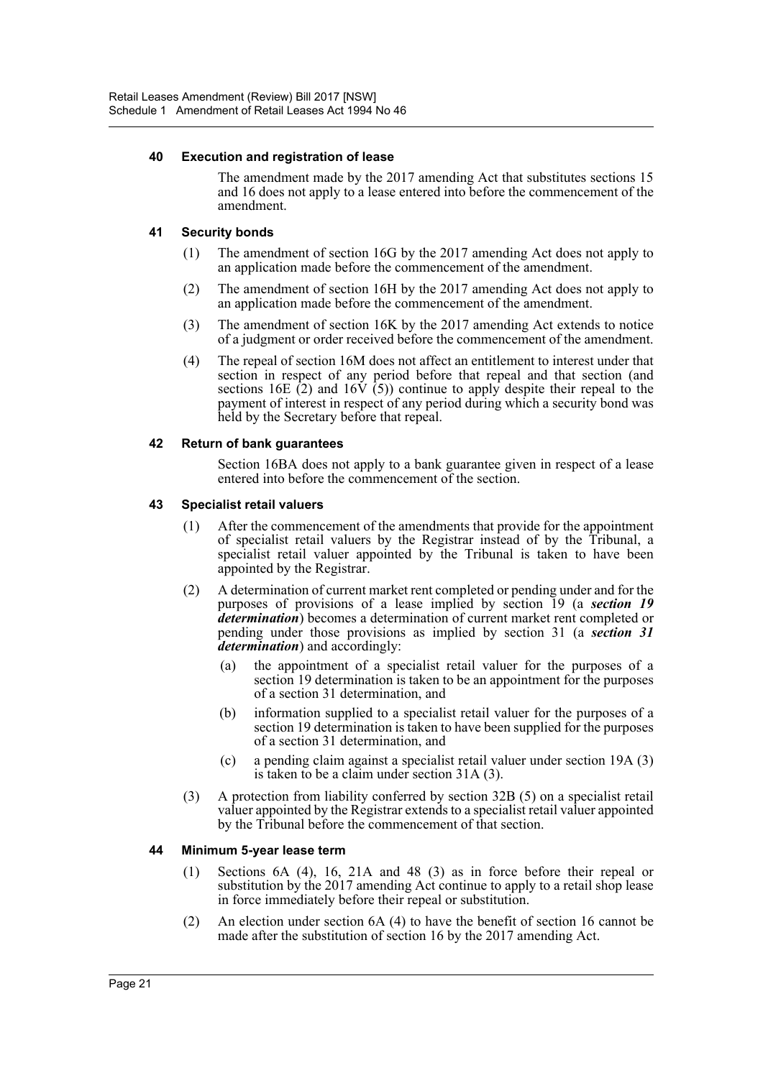#### **40 Execution and registration of lease**

The amendment made by the 2017 amending Act that substitutes sections 15 and 16 does not apply to a lease entered into before the commencement of the amendment.

#### **41 Security bonds**

- (1) The amendment of section 16G by the 2017 amending Act does not apply to an application made before the commencement of the amendment.
- (2) The amendment of section 16H by the 2017 amending Act does not apply to an application made before the commencement of the amendment.
- (3) The amendment of section 16K by the 2017 amending Act extends to notice of a judgment or order received before the commencement of the amendment.
- (4) The repeal of section 16M does not affect an entitlement to interest under that section in respect of any period before that repeal and that section (and sections 16E  $(2)$  and 16 $\dot{V}$   $(5)$ ) continue to apply despite their repeal to the payment of interest in respect of any period during which a security bond was held by the Secretary before that repeal.

#### **42 Return of bank guarantees**

Section 16BA does not apply to a bank guarantee given in respect of a lease entered into before the commencement of the section.

#### **43 Specialist retail valuers**

- (1) After the commencement of the amendments that provide for the appointment of specialist retail valuers by the Registrar instead of by the Tribunal, a specialist retail valuer appointed by the Tribunal is taken to have been appointed by the Registrar.
- (2) A determination of current market rent completed or pending under and for the purposes of provisions of a lease implied by section 19 (a *section 19 determination*) becomes a determination of current market rent completed or pending under those provisions as implied by section 31 (a *section 31 determination*) and accordingly:
	- (a) the appointment of a specialist retail valuer for the purposes of a section 19 determination is taken to be an appointment for the purposes of a section 31 determination, and
	- (b) information supplied to a specialist retail valuer for the purposes of a section 19 determination is taken to have been supplied for the purposes of a section 31 determination, and
	- (c) a pending claim against a specialist retail valuer under section 19A (3) is taken to be a claim under section 31A (3).
- (3) A protection from liability conferred by section 32B (5) on a specialist retail valuer appointed by the Registrar extends to a specialist retail valuer appointed by the Tribunal before the commencement of that section.

#### **44 Minimum 5-year lease term**

- (1) Sections 6A (4), 16, 21A and 48 (3) as in force before their repeal or substitution by the 2017 amending Act continue to apply to a retail shop lease in force immediately before their repeal or substitution.
- (2) An election under section 6A (4) to have the benefit of section 16 cannot be made after the substitution of section 16 by the 2017 amending Act.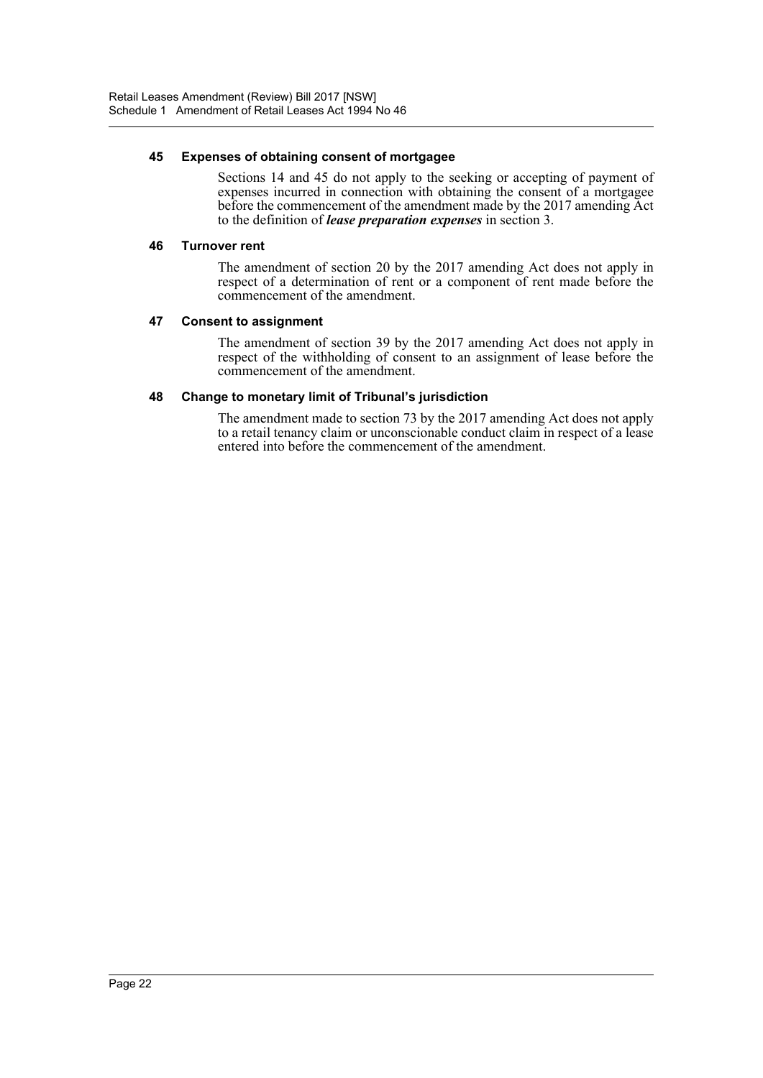#### **45 Expenses of obtaining consent of mortgagee**

Sections 14 and 45 do not apply to the seeking or accepting of payment of expenses incurred in connection with obtaining the consent of a mortgagee before the commencement of the amendment made by the 2017 amending Act to the definition of *lease preparation expenses* in section 3.

#### **46 Turnover rent**

The amendment of section 20 by the 2017 amending Act does not apply in respect of a determination of rent or a component of rent made before the commencement of the amendment.

#### **47 Consent to assignment**

The amendment of section 39 by the 2017 amending Act does not apply in respect of the withholding of consent to an assignment of lease before the commencement of the amendment.

#### **48 Change to monetary limit of Tribunal's jurisdiction**

The amendment made to section 73 by the 2017 amending Act does not apply to a retail tenancy claim or unconscionable conduct claim in respect of a lease entered into before the commencement of the amendment.